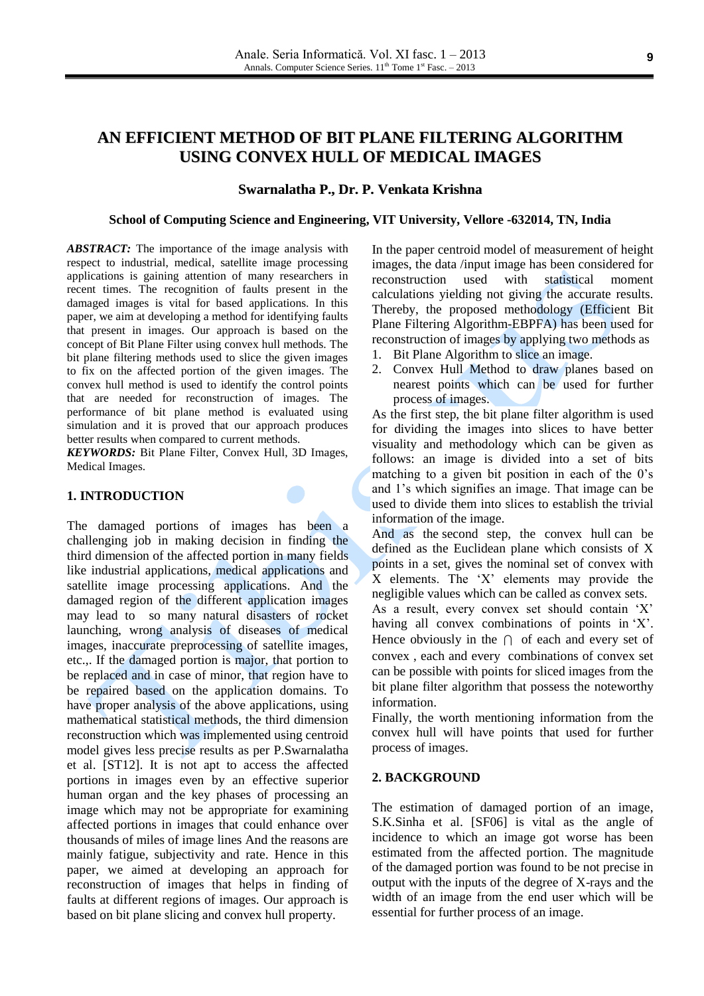# **AN EFFICIENT METHOD OF BIT PLANE FILTERING ALGORITHM USING CONVEX HULL OF MEDICAL IMAGES**

## **Swarnalatha P., Dr. P. Venkata Krishna**

#### **School of Computing Science and Engineering, VIT University, Vellore -632014, TN, India**

*ABSTRACT:* The importance of the image analysis with respect to industrial, medical, satellite image processing applications is gaining attention of many researchers in recent times. The recognition of faults present in the damaged images is vital for based applications. In this paper, we aim at developing a method for identifying faults that present in images. Our approach is based on the concept of Bit Plane Filter using convex hull methods. The bit plane filtering methods used to slice the given images to fix on the affected portion of the given images. The convex hull method is used to identify the control points that are needed for reconstruction of images. The performance of bit plane method is evaluated using simulation and it is proved that our approach produces better results when compared to current methods.

*KEYWORDS:* Bit Plane Filter, Convex Hull, 3D Images, Medical Images.

## **1. INTRODUCTION**

The damaged portions of images has been a challenging job in making decision in finding the third dimension of the affected portion in many fields like industrial applications, medical applications and satellite image processing applications. And the damaged region of the different application images may lead to so many natural disasters of rocket launching, wrong analysis of diseases of medical images, inaccurate preprocessing of satellite images, etc.,. If the damaged portion is major, that portion to be replaced and in case of minor, that region have to be repaired based on the application domains. To have proper analysis of the above applications, using mathematical statistical methods, the third dimension reconstruction which was implemented using centroid model gives less precise results as per P.Swarnalatha et al. [ST12]. It is not apt to access the affected portions in images even by an effective superior human organ and the key phases of processing an image which may not be appropriate for examining affected portions in images that could enhance over thousands of miles of image lines And the reasons are mainly fatigue, subjectivity and rate. Hence in this paper, we aimed at developing an approach for reconstruction of images that helps in finding of faults at different regions of images. Our approach is based on bit plane slicing and convex hull property.

In the paper centroid model of measurement of height images, the data /input image has been considered for reconstruction used with statistical moment calculations yielding not giving the accurate results. Thereby, the proposed methodology (Efficient Bit Plane Filtering Algorithm-EBPFA) has been used for reconstruction of images by applying two methods as

- 1. Bit Plane Algorithm to slice an image.
- 2. Convex Hull Method to draw planes based on nearest points which can be used for further process of images.

As the first step, the bit plane filter algorithm is used for dividing the images into slices to have better visuality and methodology which can be given as follows: an image is divided into a set of bits matching to a given bit position in each of the 0's and 1"s which signifies an image. That image can be used to divide them into slices to establish the trivial information of the image.

And as the second step, the convex hull can be defined as the Euclidean plane which consists of X points in a set, gives the nominal set of convex with X elements. The "X" elements may provide the negligible values which can be called as convex sets. As a result, every convex set should contain "X" having all convex combinations of points in 'X'.

Hence obviously in the  $\cap$  of each and every set of convex , each and every combinations of convex set can be possible with points for sliced images from the bit plane filter algorithm that possess the noteworthy information.

Finally, the worth mentioning information from the convex hull will have points that used for further process of images.

#### **2. BACKGROUND**

The estimation of damaged portion of an image, S.K.Sinha et al. [SF06] is vital as the angle of incidence to which an image got worse has been estimated from the affected portion. The magnitude of the damaged portion was found to be not precise in output with the inputs of the degree of X-rays and the width of an image from the end user which will be essential for further process of an image.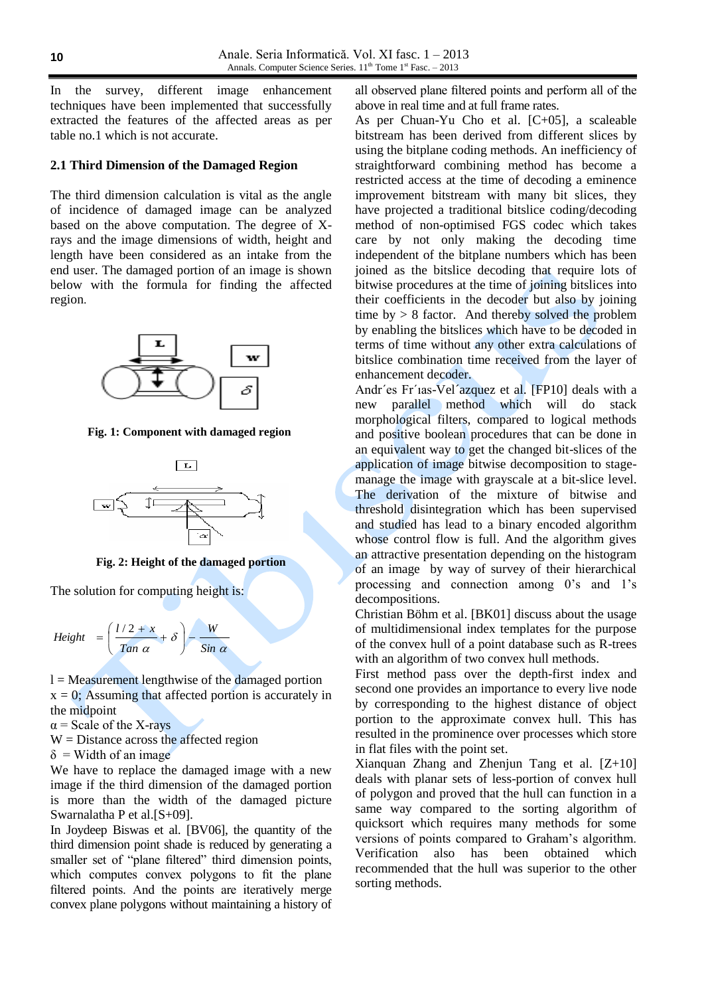In the survey, different image enhancement techniques have been implemented that successfully extracted the features of the affected areas as per table no.1 which is not accurate.

## **2.1 Third Dimension of the Damaged Region**

The third dimension calculation is vital as the angle of incidence of damaged image can be analyzed based on the above computation. The degree of Xrays and the image dimensions of width, height and length have been considered as an intake from the end user. The damaged portion of an image is shown below with the formula for finding the affected region.



**Fig. 1: Component with damaged region**



**Fig. 2: Height of the damaged portion**

The solution for computing height is:

$$
Height = \left(\frac{l/2 + x}{Tan \ \alpha} + \delta\right) - \frac{W}{Sin \ \alpha}
$$

 $l = Measurement$  lengthwise of the damaged portion  $x = 0$ ; Assuming that affected portion is accurately in the midpoint

 $\alpha$  = Scale of the X-rays

 $W =$  Distance across the affected region

 $\delta$  = Width of an image

We have to replace the damaged image with a new image if the third dimension of the damaged portion is more than the width of the damaged picture Swarnalatha P et al.[S+09].

In Joydeep Biswas et al. [BV06], the quantity of the third dimension point shade is reduced by generating a smaller set of "plane filtered" third dimension points, which computes convex polygons to fit the plane filtered points. And the points are iteratively merge convex plane polygons without maintaining a history of all observed plane filtered points and perform all of the above in real time and at full frame rates.

As per Chuan-Yu Cho et al. [C+05], a scaleable bitstream has been derived from different slices by using the bitplane coding methods. An inefficiency of straightforward combining method has become a restricted access at the time of decoding a eminence improvement bitstream with many bit slices, they have projected a traditional bitslice coding/decoding method of non-optimised FGS codec which takes care by not only making the decoding time independent of the bitplane numbers which has been joined as the bitslice decoding that require lots of bitwise procedures at the time of joining bitslices into their coefficients in the decoder but also by joining time  $by > 8$  factor. And thereby solved the problem by enabling the bitslices which have to be decoded in terms of time without any other extra calculations of bitslice combination time received from the layer of enhancement decoder.

Andr´es Fr´ıas-Vel´azquez et al. [FP10] deals with a new parallel method which will do stack morphological filters, compared to logical methods and positive boolean procedures that can be done in an equivalent way to get the changed bit-slices of the application of image bitwise decomposition to stagemanage the image with grayscale at a bit-slice level. The derivation of the mixture of bitwise and threshold disintegration which has been supervised and studied has lead to a binary encoded algorithm whose control flow is full. And the algorithm gives an attractive presentation depending on the histogram of an image by way of survey of their hierarchical processing and connection among 0's and 1's decompositions.

Christian Böhm et al. [BK01] discuss about the usage of multidimensional index templates for the purpose of the convex hull of a point database such as R-trees with an algorithm of two convex hull methods.

First method pass over the depth-first index and second one provides an importance to every live node by corresponding to the highest distance of object portion to the approximate convex hull. This has resulted in the prominence over processes which store in flat files with the point set.

Xianquan Zhang and Zhenjun Tang et al. [Z+10] deals with planar sets of less-portion of convex hull of polygon and proved that the hull can function in a same way compared to the sorting algorithm of quicksort which requires many methods for some versions of points compared to Graham"s algorithm. Verification also has been obtained which recommended that the hull was superior to the other sorting methods.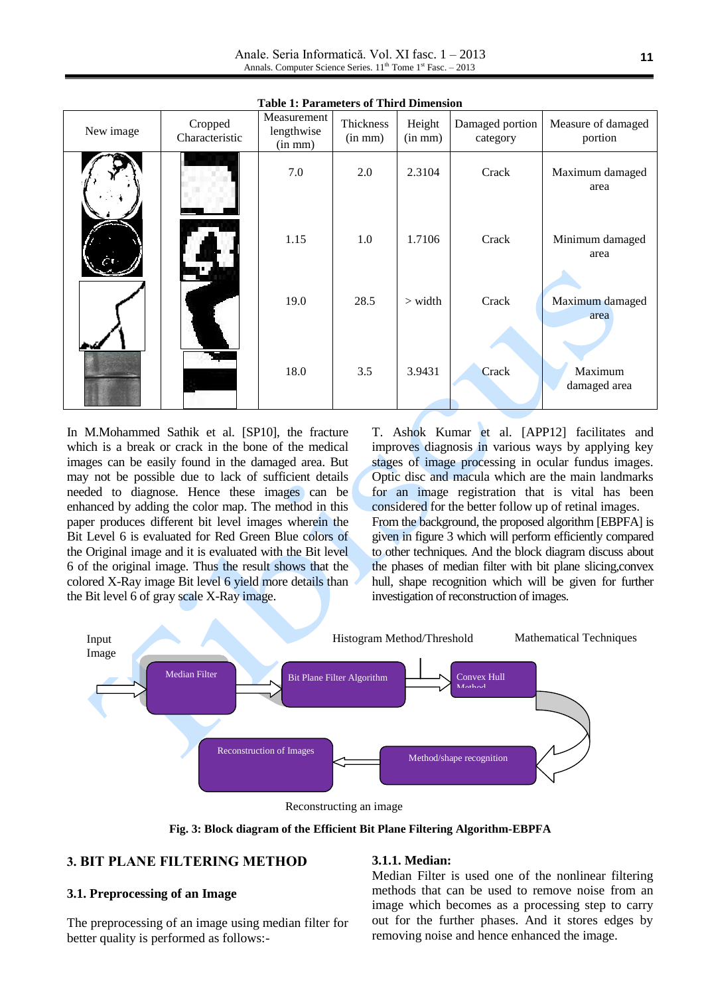Anale. Seria Informatică. Vol. XI fasc. 1 – 2013 Annals. Computer Science Series. 11<sup>th</sup> Tome 1<sup>st</sup> Fasc. – 2013

| New image | Cropped<br>Characteristic | raoic r. r aramcicro or ruira Dimichsión<br>Measurement<br>lengthwise<br>$(in \, mm)$ | Thickness<br>$(in \, mm)$ | Height<br>$(in \, mm)$ | Damaged portion<br>category | Measure of damaged<br>portion |
|-----------|---------------------------|---------------------------------------------------------------------------------------|---------------------------|------------------------|-----------------------------|-------------------------------|
|           |                           | 7.0                                                                                   | 2.0                       | 2.3104                 | Crack                       | Maximum damaged<br>area       |
|           |                           | 1.15                                                                                  | 1.0                       | 1.7106                 | Crack                       | Minimum damaged<br>area       |
|           |                           | 19.0                                                                                  | 28.5                      | $>$ width              | Crack                       | Maximum damaged<br>area       |
|           |                           | 18.0                                                                                  | 3.5                       | 3.9431                 | Crack                       | Maximum<br>damaged area       |

**Table 1: Parameters of Third Dimension**

In M.Mohammed Sathik et al. [SP10], the fracture which is a break or crack in the bone of the medical images can be easily found in the damaged area. But may not be possible due to lack of sufficient details needed to diagnose. Hence these images can be enhanced by adding the color map. The method in this paper produces different bit level images wherein the Bit Level 6 is evaluated for Red Green Blue colors of the Original image and it is evaluated with the Bit level 6 of the original image. Thus the result shows that the colored X-Ray image Bit level 6 yield more details than the Bit level 6 of gray scale X-Ray image.

T. Ashok Kumar et al. [APP12] facilitates and improves diagnosis in various ways by applying key stages of image processing in ocular fundus images. Optic disc and macula which are the main landmarks for an image registration that is vital has been considered for the better follow up of retinal images. From the background, the proposed algorithm [EBPFA] is given in figure 3 which will perform efficiently compared to other techniques. And the block diagram discuss about the phases of median filter with bit plane slicing,convex hull, shape recognition which will be given for further investigation of reconstruction of images.





**Fig. 3: Block diagram of the Efficient Bit Plane Filtering Algorithm-EBPFA**

## **3. BIT PLANE FILTERING METHOD**

## **3.1. Preprocessing of an Image**

The preprocessing of an image using median filter for better quality is performed as follows:-

#### **3.1.1. Median:**

Median Filter is used one of the nonlinear filtering methods that can be used to remove noise from an image which becomes as a processing step to carry out for the further phases. And it stores edges by removing noise and hence enhanced the image.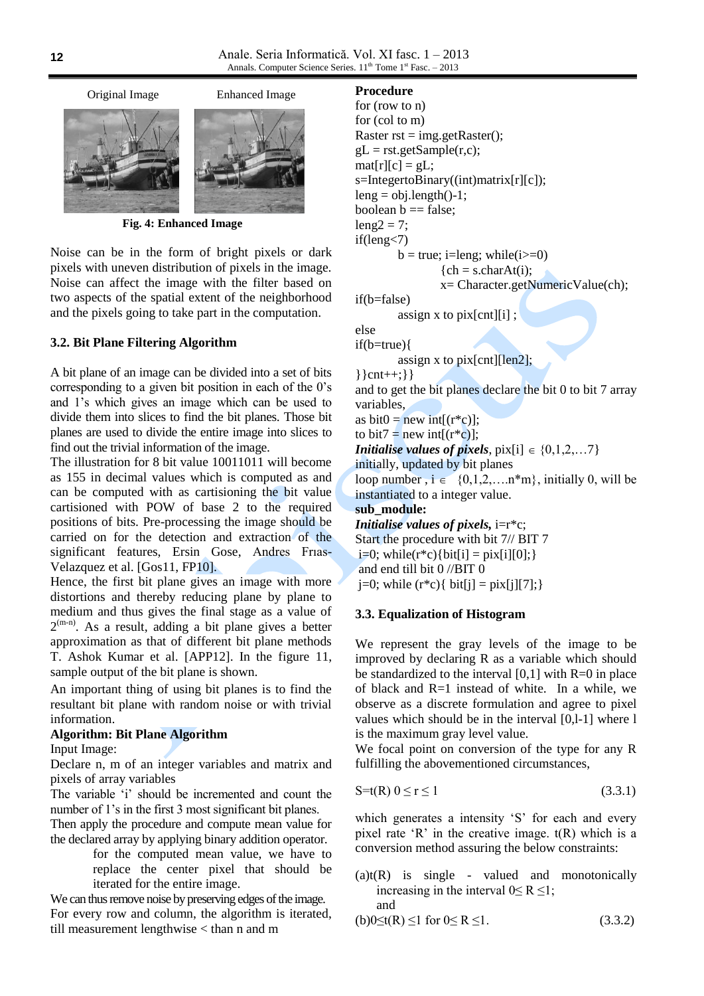

 **Fig. 4: Enhanced Image**

Noise can be in the form of bright pixels or dark pixels with uneven distribution of pixels in the image. Noise can affect the image with the filter based on two aspects of the spatial extent of the neighborhood and the pixels going to take part in the computation.

## **3.2. Bit Plane Filtering Algorithm**

A bit plane of an image can be divided into a set of bits corresponding to a given bit position in each of the 0"s and 1"s which gives an image which can be used to divide them into slices to find the bit planes. Those bit planes are used to divide the entire image into slices to find out the trivial information of the image.

The illustration for 8 bit value 10011011 will become as 155 in decimal values which is computed as and can be computed with as cartisioning the bit value cartisioned with POW of base 2 to the required positions of bits. Pre-processing the image should be carried on for the detection and extraction of the significant features, Ersin Gose, Andres Frıas-Velazquez et al. [Gos11, FP10].

Hence, the first bit plane gives an image with more distortions and thereby reducing plane by plane to medium and thus gives the final stage as a value of  $2^{(m-n)}$ . As a result, adding a bit plane gives a better approximation as that of different bit plane methods T. Ashok Kumar et al. [APP12]. In the figure 11, sample output of the bit plane is shown.

An important thing of using bit planes is to find the resultant bit plane with random noise or with trivial information.

## **Algorithm: Bit Plane Algorithm**

Input Image:

Declare n, m of an integer variables and matrix and pixels of array variables

The variable 'i' should be incremented and count the number of 1's in the first 3 most significant bit planes.

Then apply the procedure and compute mean value for the declared array by applying binary addition operator.

> for the computed mean value, we have to replace the center pixel that should be iterated for the entire image.

We can thus remove noise by preserving edges of the image. For every row and column, the algorithm is iterated, till measurement lengthwise < than n and m

#### **Procedure**

```
for (row to n)
for (col to m) 
Raster rst = img.getRaster();
gL = rst.getSample(r, c);mat[r][c] = gL;s=IntegertoBinary((int)matrix[r][c]);
leng = obj.length() - 1;boolean b == false;
leng2 = 7;
if(leng<7)
        b = true; i=leng; while(i>= 0)
                  {ch = s.charAt(i)};
                 x= Character.getNumericValue(ch);
if(b=false)
         assign x to pix[cnt][i] ;
else 
if(b=true){
         assign x to pix[cnt][len2];
\{ \cnt++; \} \cnt++; \} \cnt++; \times
and to get the bit planes declare the bit 0 to bit 7 array 
variables, 
as bit0 = new int[(r * c)];to bit7 = new int[(r^*c)];
Initialise values of pixels, pix[i] \in \{0, 1, 2, \ldots 7\}initially, updated by bit planes
loop number, i \in \{0,1,2,...n^*m\}, initially 0, will be
instantiated to a integer value.
sub_module:
Initialise values of pixels, i=r*c;
Start the procedure with bit 7// BIT 7
i=0; while(r*c){bit[i] = pix[i][0]; }
and end till bit 0 //BIT 0
j=0; while (r * c){ bit[j] = pix[j][7]; }
```
#### **3.3. Equalization of Histogram**

We represent the gray levels of the image to be improved by declaring R as a variable which should be standardized to the interval  $[0,1]$  with  $R=0$  in place of black and R=1 instead of white. In a while, we observe as a discrete formulation and agree to pixel values which should be in the interval [0,l-1] where l is the maximum gray level value.

We focal point on conversion of the type for any R fulfilling the abovementioned circumstances,

$$
S = t(R) 0 \le r \le 1 \tag{3.3.1}
$$

which generates a intensity 'S' for each and every pixel rate  $'R'$  in the creative image.  $t(R)$  which is a conversion method assuring the below constraints:

 $(a)t(R)$  is single - valued and monotonically increasing in the interval  $0 \le R \le 1$ ; and

(b)0≤t(R) ≤1 for 0≤ R ≤1. (3.3.2)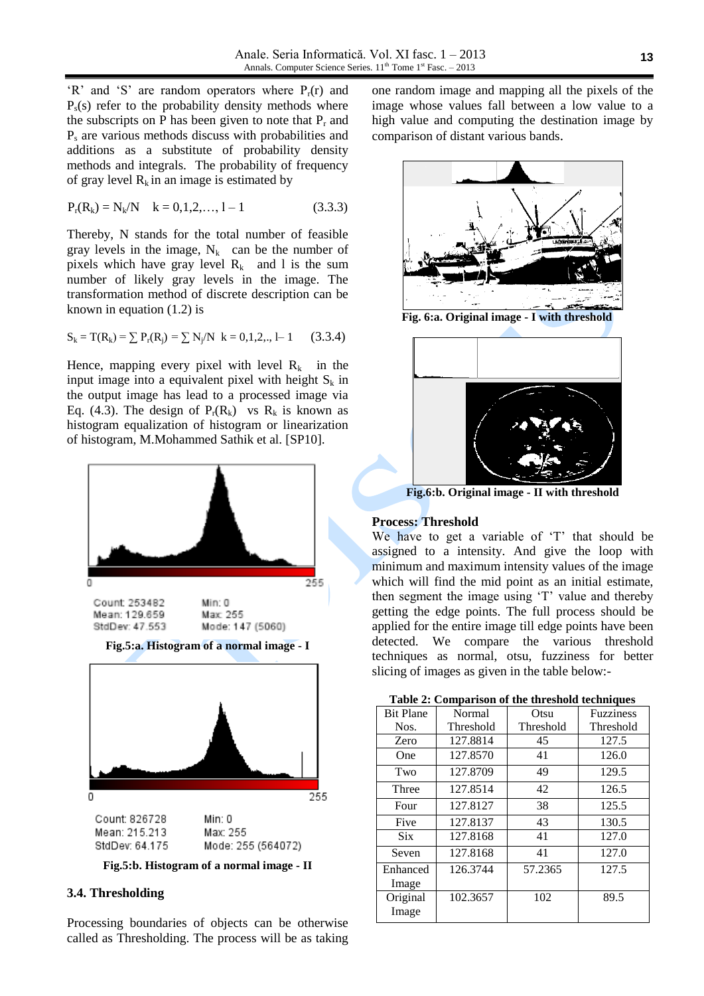$'R'$  and 'S' are random operators where  $P_r(r)$  and  $P_s(s)$  refer to the probability density methods where the subscripts on P has been given to note that  $P_r$  and P<sup>s</sup> are various methods discuss with probabilities and additions as a substitute of probability density methods and integrals. The probability of frequency of gray level  $R_k$  in an image is estimated by

$$
P_r(R_k) = N_k/N \quad k = 0, 1, 2, ..., 1 - 1 \tag{3.3.3}
$$

Thereby, N stands for the total number of feasible gray levels in the image,  $N_k$  can be the number of pixels which have gray level  $R_k$  and l is the sum number of likely gray levels in the image. The transformation method of discrete description can be known in equation (1.2) is

$$
S_k = T(R_k) = \sum P_r(R_j) = \sum N_j/N \quad k = 0, 1, 2, ..., 1 - 1 \tag{3.3.4}
$$

Hence, mapping every pixel with level  $R_k$  in the input image into a equivalent pixel with height  $S_k$  in the output image has lead to a processed image via Eq. (4.3). The design of  $P_r(R_k)$  vs  $R_k$  is known as histogram equalization of histogram or linearization of histogram, M.Mohammed Sathik et al. [SP10].



**Fig.5:a. Histogram of a normal image - I**



**Fig.5:b. Histogram of a normal image - II**

## **3.4. Thresholding**

Processing boundaries of objects can be otherwise called as Thresholding. The process will be as taking one random image and mapping all the pixels of the image whose values fall between a low value to a high value and computing the destination image by comparison of distant various bands.



 **Fig. 6:a. Original image - I with threshold**



**Fig.6:b. Original image - II with threshold**

#### **Process: Threshold**

We have to get a variable of 'T' that should be assigned to a intensity. And give the loop with minimum and maximum intensity values of the image which will find the mid point as an initial estimate, then segment the image using 'T' value and thereby getting the edge points. The full process should be applied for the entire image till edge points have been detected. We compare the various threshold techniques as normal, otsu, fuzziness for better slicing of images as given in the table below:-

**Table 2: Comparison of the threshold techniques**

| <b>Bit Plane</b>  | Normal    | Otsu      | <b>Fuzziness</b> |
|-------------------|-----------|-----------|------------------|
| Nos.              | Threshold | Threshold | Threshold        |
| Zero              | 127.8814  | 45        | 127.5            |
| One               | 127.8570  | 41        | 126.0            |
| Two               | 127.8709  | 49        | 129.5            |
| Three             | 127.8514  | 42        | 126.5            |
| Four              | 127.8127  | 38        | 125.5            |
| Five              | 127.8137  | 43        | 130.5            |
| <b>Six</b>        | 127.8168  | 41        | 127.0            |
| Seven             | 127.8168  | 41        | 127.0            |
| Enhanced<br>Image | 126.3744  | 57.2365   | 127.5            |
| Original<br>Image | 102.3657  | 102       | 89.5             |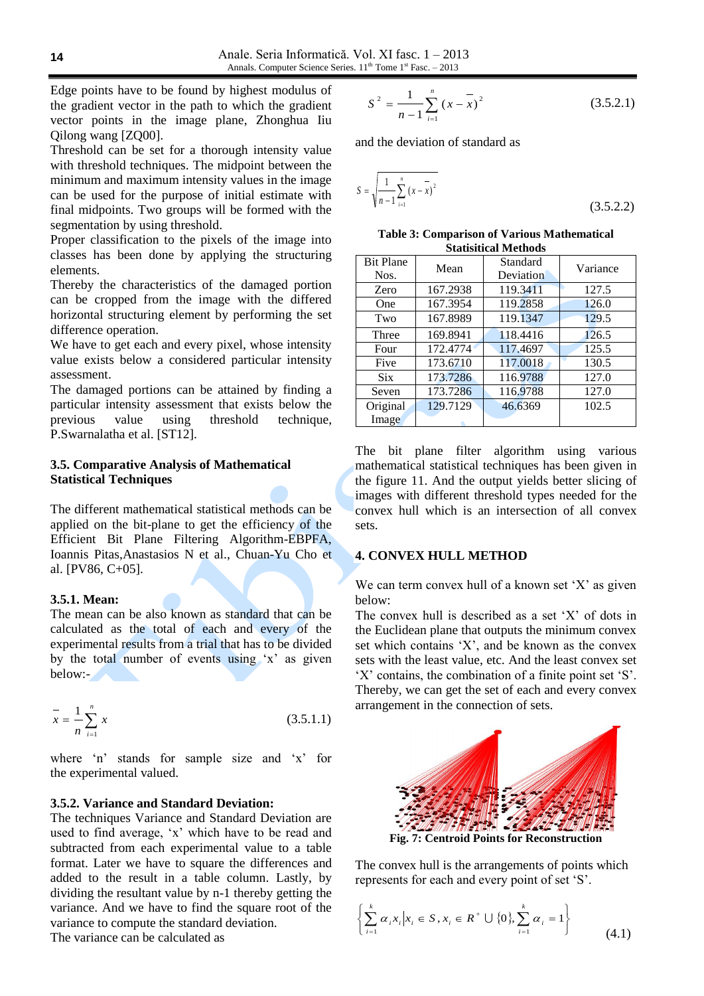Edge points have to be found by highest modulus of the gradient vector in the path to which the gradient vector points in the image plane, Zhonghua Iiu Qilong wang [ZQ00].

Threshold can be set for a thorough intensity value with threshold techniques. The midpoint between the minimum and maximum intensity values in the image can be used for the purpose of initial estimate with final midpoints. Two groups will be formed with the segmentation by using threshold.

Proper classification to the pixels of the image into classes has been done by applying the structuring elements.

Thereby the characteristics of the damaged portion can be cropped from the image with the differed horizontal structuring element by performing the set difference operation.

We have to get each and every pixel, whose intensity value exists below a considered particular intensity assessment.

The damaged portions can be attained by finding a particular intensity assessment that exists below the previous value using threshold technique, P.Swarnalatha et al. [ST12].

## **3.5. Comparative Analysis of Mathematical Statistical Techniques**

The different mathematical statistical methods can be applied on the bit-plane to get the efficiency of the Efficient Bit Plane Filtering Algorithm-EBPFA, Ioannis Pitas,Anastasios N et al., Chuan-Yu Cho et al. [PV86, C+05].

## **3.5.1. Mean:**

The mean can be also known as standard that can be calculated as the total of each and every of the experimental results from a trial that has to be divided by the total number of events using 'x' as given below:-

$$
\overline{x} = \frac{1}{n} \sum_{i=1}^{n} x
$$
 (3.5.1.1)

where 'n' stands for sample size and 'x' for the experimental valued.

## **3.5.2. Variance and Standard Deviation:**

The techniques Variance and Standard Deviation are used to find average, "x" which have to be read and subtracted from each experimental value to a table format. Later we have to square the differences and added to the result in a table column. Lastly, by dividing the resultant value by n-1 thereby getting the variance. And we have to find the square root of the variance to compute the standard deviation. the gradient vector in the path in the practice of the matter of the state<br>
vector points in the image plane. Zhongbua Eu<br>
Olivey and  $Z$  and the deviation of stan<br>
Unreg went of the state of the state of the state of the

$$
S^{2} = \frac{1}{n-1} \sum_{i=1}^{n} (x - \overline{x})^{2}
$$
 (3.5.2.1)

and the deviation of standard as

$$
S = \sqrt{\frac{1}{n-1} \sum_{i=1}^{n} (x - \overline{x})^2}
$$
 (3.5.2.2)

| <b>Table 3: Comparison of Various Mathematical</b> |
|----------------------------------------------------|
| <b>Statisitical Methods</b>                        |

| <b>Bit Plane</b><br>Nos. | Mean     | Standard<br>Deviation | Variance |
|--------------------------|----------|-----------------------|----------|
| Zero                     | 167.2938 | 119.3411              | 127.5    |
| One                      | 167.3954 | 119.2858              | 126.0    |
| Two                      | 167.8989 | 119.1347              | 129.5    |
| Three                    | 169.8941 | 118.4416              | 126.5    |
| Four                     | 172.4774 | 117.4697              | 125.5    |
| Five                     | 173.6710 | 117.0018              | 130.5    |
| <b>Six</b>               | 173.7286 | 116.9788              | 127.0    |
| Seven                    | 173.7286 | 116.9788              | 127.0    |
| Original                 | 129.7129 | 46.6369               | 102.5    |
| Image                    |          |                       |          |

The bit plane filter algorithm using various mathematical statistical techniques has been given in the figure 11. And the output yields better slicing of images with different threshold types needed for the convex hull which is an intersection of all convex sets.

## **4. CONVEX HULL METHOD**

We can term convex hull of a known set  $'X'$  as given below:

The convex hull is described as a set "X" of dots in the Euclidean plane that outputs the minimum convex set which contains "X", and be known as the convex sets with the least value, etc. And the least convex set 'X' contains, the combination of a finite point set 'S'. Thereby, we can get the set of each and every convex arrangement in the connection of sets.



The convex hull is the arrangements of points which represents for each and every point of set 'S'.

$$
\left\{\sum_{i=1}^{k} \alpha_i x_i \middle| x_i \in S, x_i \in R^+ \cup \{0\}, \sum_{i=1}^{k} \alpha_i = 1 \right\}
$$
 (4.1)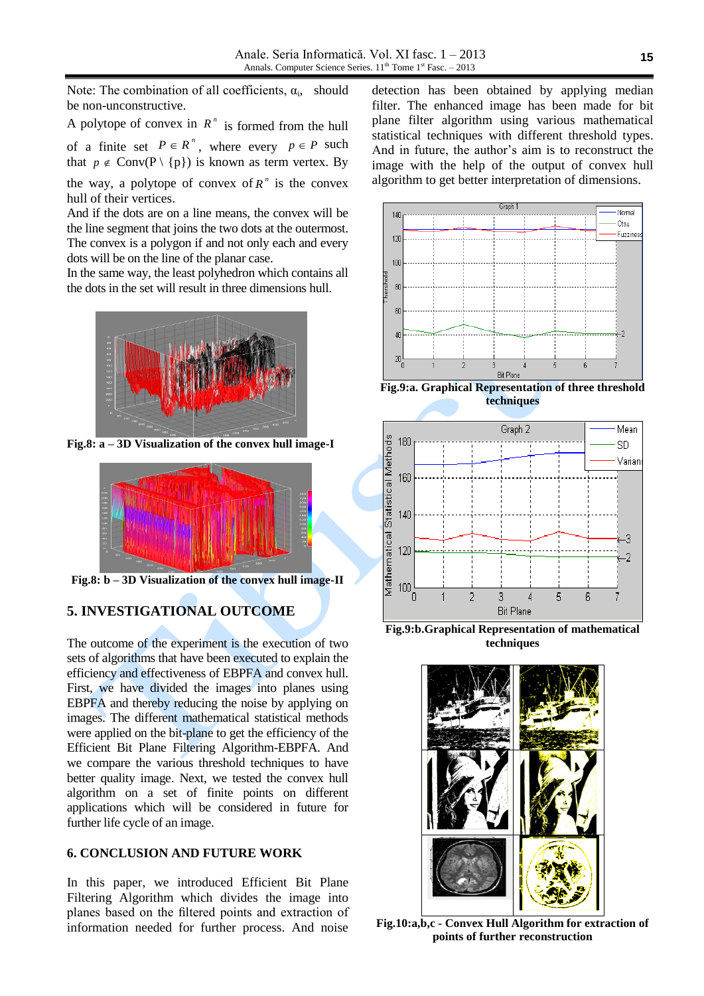Note: The combination of all coefficients,  $\alpha_i$ , should be non-unconstructive.

A polytope of convex in  $R^n$  is formed from the hull of a finite set  $P \in R^n$ , where every  $p \in P$  such that  $p \notin Conv(P \setminus \{p\})$  is known as term vertex. By

the way, a polytope of convex of  $R^n$  is the convex hull of their vertices.

And if the dots are on a line means, the convex will be the line segment that joins the two dots at the outermost. The convex is a polygon if and not only each and every dots will be on the line of the planar case.

In the same way, the least polyhedron which contains all the dots in the set will result in three dimensions hull.



**Fig.8: a – 3D Visualization of the convex hull image-I**



**Fig.8: b – 3D Visualization of the convex hull image-II**

## **5. INVESTIGATIONAL OUTCOME**

The outcome of the experiment is the execution of two sets of algorithms that have been executed to explain the efficiency and effectiveness of EBPFA and convex hull. First, we have divided the images into planes using EBPFA and thereby reducing the noise by applying on images. The different mathematical statistical methods were applied on the bit-plane to get the efficiency of the Efficient Bit Plane Filtering Algorithm-EBPFA. And we compare the various threshold techniques to have better quality image. Next, we tested the convex hull algorithm on a set of finite points on different applications which will be considered in future for further life cycle of an image.

## **6. CONCLUSION AND FUTURE WORK**

In this paper, we introduced Efficient Bit Plane Filtering Algorithm which divides the image into planes based on the filtered points and extraction of information needed for further process. And noise

detection has been obtained by applying median filter. The enhanced image has been made for bit plane filter algorithm using various mathematical statistical techniques with different threshold types. And in future, the author"s aim is to reconstruct the image with the help of the output of convex hull algorithm to get better interpretation of dimensions.



**techniques**



**Fig.9:b.Graphical Representation of mathematical techniques**



**Fig.10:a,b,c - Convex Hull Algorithm for extraction of points of further reconstruction**